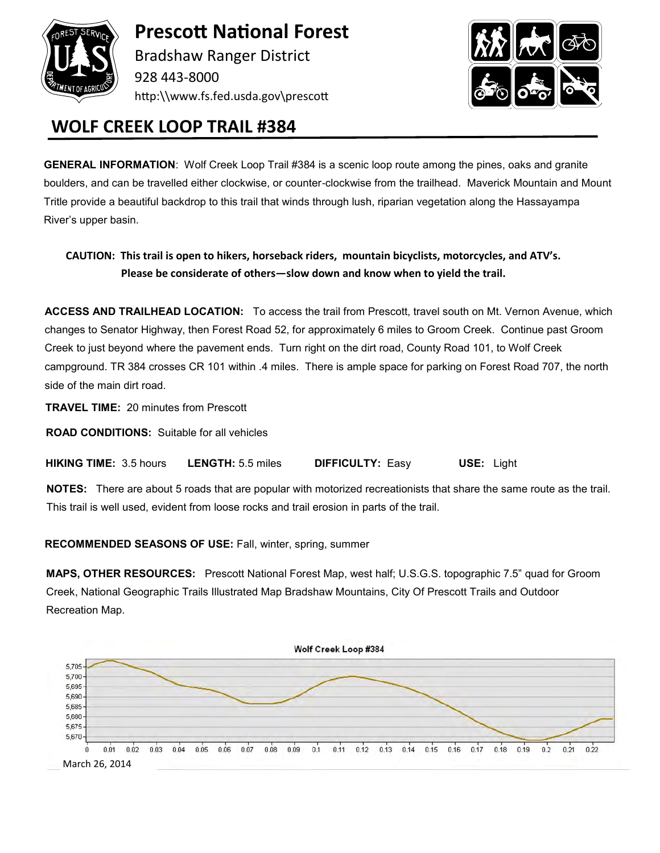

**Prescott National Forest** Bradshaw Ranger District

928 443-8000 http:\\www.fs.fed.usda.gov\prescott



## **WOLF CREEK LOOP TRAIL #384**

**GENERAL INFORMATION**: Wolf Creek Loop Trail #384 is a scenic loop route among the pines, oaks and granite boulders, and can be travelled either clockwise, or counter-clockwise from the trailhead. Maverick Mountain and Mount Tritle provide a beautiful backdrop to this trail that winds through lush, riparian vegetation along the Hassayampa River's upper basin.

**CAUTION: This trail is open to hikers, horseback riders, mountain bicyclists, motorcycles, and ATV's. Please be considerate of others—slow down and know when to yield the trail.**

**ACCESS AND TRAILHEAD LOCATION:** To access the trail from Prescott, travel south on Mt. Vernon Avenue, which changes to Senator Highway, then Forest Road 52, for approximately 6 miles to Groom Creek. Continue past Groom Creek to just beyond where the pavement ends. Turn right on the dirt road, County Road 101, to Wolf Creek campground. TR 384 crosses CR 101 within .4 miles. There is ample space for parking on Forest Road 707, the north side of the main dirt road.

**TRAVEL TIME:** 20 minutes from Prescott

**ROAD CONDITIONS:** Suitable for all vehicles

 **HIKING TIME:** 3.5 hours **LENGTH:** 5.5 miles **DIFFICULTY:** Easy **USE:** Light

 **NOTES:** There are about 5 roads that are popular with motorized recreationists that share the same route as the trail. This trail is well used, evident from loose rocks and trail erosion in parts of the trail.

**RECOMMENDED SEASONS OF USE:** Fall, winter, spring, summer

**MAPS, OTHER RESOURCES:** Prescott National Forest Map, west half; U.S.G.S. topographic 7.5" quad for Groom Creek, National Geographic Trails Illustrated Map Bradshaw Mountains, City Of Prescott Trails and Outdoor Recreation Map.